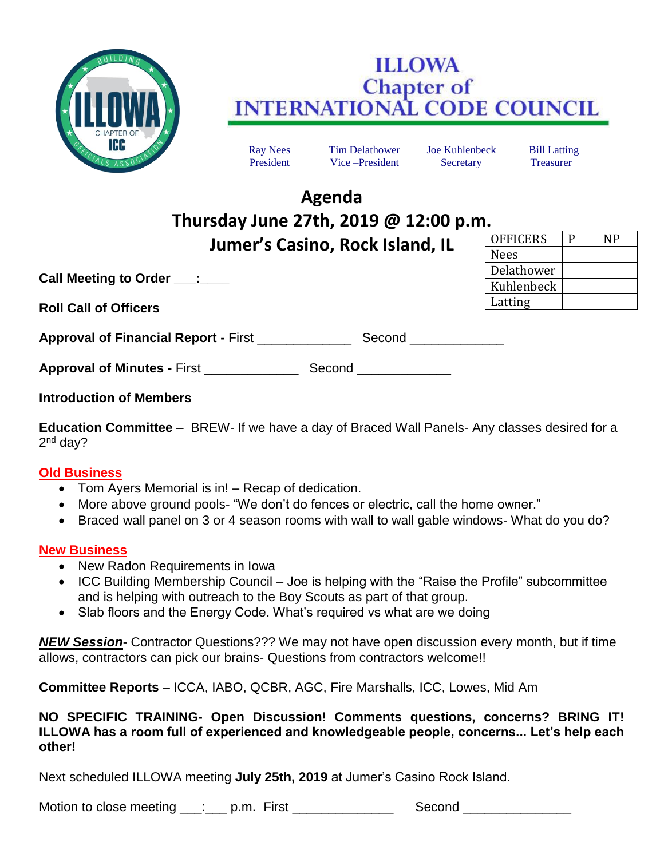

## **ILLOWA Chapter of INTERNATIONAL CODE COUNCIL**

Ray Nees Tim Delathower Joe Kuhlenbeck Bill Latting President Vice –President Secretary Treasurer

OFFICERS P NP

Nees

Delathower Kuhlenbeck Latting

# **Agenda Thursday June 27th, 2019 @ 12:00 p.m. Jumer's Casino, Rock Island, IL**

**Call Meeting to Order \_\_\_:\_\_\_\_**

**Roll Call of Officers**

| <b>Approval of Financial Report - First</b><br>Second |
|-------------------------------------------------------|
|-------------------------------------------------------|

**Approval of Minutes - First ending Second Second Approval of Minutes - First ending Second Approval Second Approval Second Approval Second Approval Second Approval Second Approval Second Approval Second Approval Second Ap** 

### **Introduction of Members**

**Education Committee** – BREW- If we have a day of Braced Wall Panels- Any classes desired for a 2<sup>nd</sup> day?

#### **Old Business**

- Tom Ayers Memorial is in! Recap of dedication.
- More above ground pools- "We don't do fences or electric, call the home owner."
- Braced wall panel on 3 or 4 season rooms with wall to wall gable windows- What do you do?

#### **New Business**

- New Radon Requirements in Iowa
- ICC Building Membership Council Joe is helping with the "Raise the Profile" subcommittee and is helping with outreach to the Boy Scouts as part of that group.
- Slab floors and the Energy Code. What's required vs what are we doing

*NEW Session*- Contractor Questions??? We may not have open discussion every month, but if time allows, contractors can pick our brains- Questions from contractors welcome!!

**Committee Reports** – ICCA, IABO, QCBR, AGC, Fire Marshalls, ICC, Lowes, Mid Am

#### **NO SPECIFIC TRAINING- Open Discussion! Comments questions, concerns? BRING IT! ILLOWA has a room full of experienced and knowledgeable people, concerns... Let's help each other!**

Next scheduled ILLOWA meeting **July 25th, 2019** at Jumer's Casino Rock Island.

Motion to close meeting \_\_\_: \_\_\_ p.m. First \_\_\_\_\_\_\_\_\_\_\_\_\_\_\_\_\_\_\_ Second \_\_\_\_\_\_\_\_\_\_